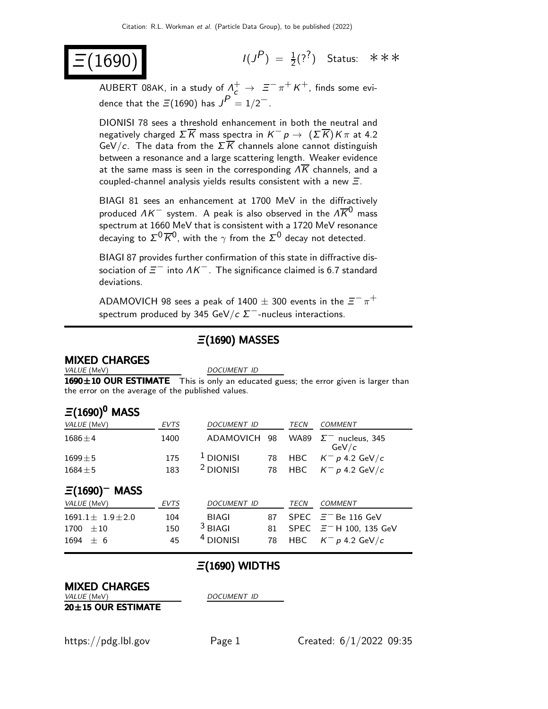$(1690)$ 

 $(P) = \frac{1}{2}(?^{2})$  Status: \*\*\*

AUBERT 08AK, in a study of  $\Lambda_c^+\to~\Xi^-\,\pi^+\,K^+$ , finds some evidence that the  $\Xi(1690)$  has  $J^P = 1/2^-$ .

DIONISI 78 sees a threshold enhancement in both the neutral and negatively charged  $\Sigma \overline{K}$  mass spectra in  $K^- p \rightarrow (\Sigma \overline{K}) K \pi$  at 4.2 GeV/c. The data from the  $\Sigma \overline{K}$  channels alone cannot distinguish between a resonance and a large scattering length. Weaker evidence at the same mass is seen in the corresponding  $\Lambda \overline{K}$  channels, and a coupled-channel analysis yields results consistent with a new  $\Xi$ .

BIAGI 81 sees an enhancement at 1700 MeV in the diffractively produced  $\Delta K^-$  system. A peak is also observed in the  $\Delta \overline{K}{}^0$  mass spectrum at 1660 MeV that is consistent with a 1720 MeV resonance decaying to  $\Sigma^0 \overline{\cal K}{}^0$ , with the  $\gamma$  from the  $\Sigma^0$  decay not detected.

BIAGI 87 provides further confirmation of this state in diffractive dissociation of  $\bar{z}^-$  into  $\Lambda\bar{\kappa}^-$  . The significance claimed is 6.7 standard deviations.

<code>ADAMOVICH</code> 98 sees a peak of 1400  $\pm$  300 events in the  $\bar{\varXi}^-\pi^+$ spectrum produced by 345 GeV/c  $\Sigma^-$ -nucleus interactions.

#### Ξ(1690) MASSES

# **MIXED CHARGES**<br>VALUE (MeV)

DOCUMENT ID

1690±10 OUR ESTIMATE This is only an educated guess; the error given is larger than the error on the average of the published values.

#### $\Xi(1690)^0$  MASS

| VALUE (MeV)                   | <b>EVTS</b> | <b>DOCUMENT ID</b>   |    | <b>TECN</b> | <b>COMMENT</b>                        |
|-------------------------------|-------------|----------------------|----|-------------|---------------------------------------|
| $1686 \pm 4$                  | 1400        | ADAMOVICH            | 98 |             | WA89 $\Sigma^-$ nucleus, 345<br>GeV/c |
| $1699 \pm 5$                  | 175         | $1$ DIONISI          | 78 | HBC         | $K^- p$ 4.2 GeV/c                     |
| $1684 \pm 5$                  | 183         | <sup>2</sup> DIONISI | 78 | <b>HBC</b>  | $K^- p$ 4.2 GeV/c                     |
| $\Xi(1690)$ <sup>-</sup> MASS |             |                      |    |             |                                       |
| VALUE (MeV)                   | <b>EVTS</b> | <b>DOCUMENT ID</b>   |    | <b>TECN</b> | COMMENT                               |
| $1691.1 \pm 1.9 \pm 2.0$      | 104         | BIAGI                | 87 |             | SPEC $\equiv$ - Be 116 GeV            |
| 1700<br>$\pm\,10$             | 150         | $3$ BIAGI            | 81 |             | SPEC $\equiv$ - H 100, 135 GeV        |
| 1694<br>$+6$                  | 45          | <sup>4</sup> DIONISI | 78 | HBC         | $K^- p$ 4.2 GeV/c                     |

#### $\Xi(1690)$  WIDTHS

# **MIXED CHARGES**<br>*VALUE* (MeV)

DOCUMENT ID

20±15 OUR ESTIMATE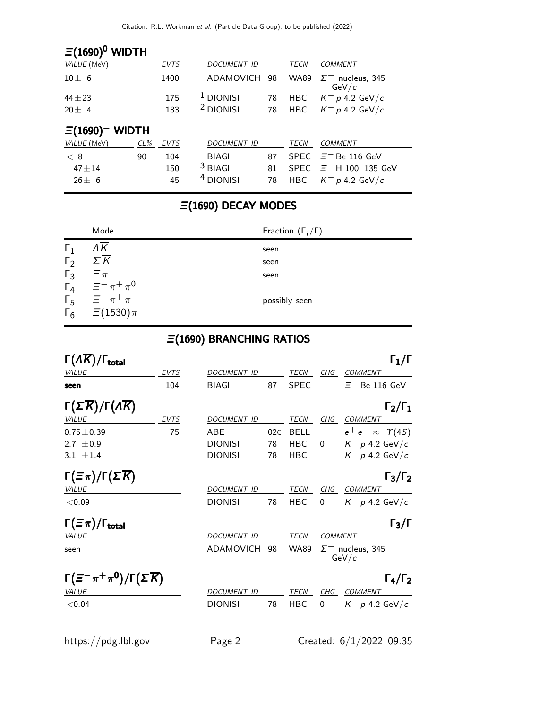## $\Xi(1690)^0$  WIDTH

| VALUE (MeV)            |        | <b>EVTS</b> | <b>DOCUMENT ID</b>   |    | TECN        | <b>COMMENT</b>                   |
|------------------------|--------|-------------|----------------------|----|-------------|----------------------------------|
| $10\pm 6$              |        | 1400        | ADAMOVICH 98         |    | <b>WA89</b> | $\Sigma^-$ nucleus, 345<br>GeV/c |
| $44 + 23$              |        | 175         | <sup>1</sup> DIONISI | 78 | <b>HBC</b>  | $K^- p$ 4.2 GeV/c                |
| $20 \pm 4$             |        | 183         | <sup>2</sup> DIONISI | 78 | <b>HBC</b>  | $K^- p 4.2 \text{ GeV}/c$        |
| $\Xi(1690)$<br>– WIDTH |        |             |                      |    |             |                                  |
| VALUE (MeV)            | $CL\%$ | <b>EVTS</b> | <b>DOCUMENT ID</b>   |    | <b>TECN</b> | <b>COMMENT</b>                   |
| < 8                    | 90     | 104         | <b>BIAGI</b>         | 87 |             | SPEC $\equiv$ - Be 116 GeV       |
| $47 + 14$              |        | 150         | $3$ BIAGI            | 81 |             | SPEC $\equiv$ - H 100, 135 GeV   |
| $26+6$                 |        | 45          | <sup>4</sup> DIONISI | 78 | <b>HBC</b>  | $K^- p$ 4.2 GeV/c                |

### Ξ(1690) DECAY MODES

|            | Mode                                                                                     | Fraction $(\Gamma_i/\Gamma)$ |
|------------|------------------------------------------------------------------------------------------|------------------------------|
| $\Gamma_1$ | ΛΚ                                                                                       | seen                         |
| $\Gamma_2$ | $\Sigma \overline{K}$                                                                    | seen                         |
|            |                                                                                          | seen                         |
|            | $\begin{array}{cc} \Gamma_3 & \equiv \pi \\ \Gamma_4 & \equiv^- \pi^+ \pi^0 \end{array}$ |                              |
| $\Gamma_5$ | $\equiv$ $-\pi$ + $\pi$ -                                                                | possibly seen                |
|            | $\Gamma_6 = \Xi(1530)\pi$                                                                |                              |

### Ξ(1690) BRANCHING RATIOS

| $\Gamma(\Lambda \overline{K})/\Gamma_{\text{total}}$          |             |                    |     |             |                | $\Gamma_1/\Gamma$                     |
|---------------------------------------------------------------|-------------|--------------------|-----|-------------|----------------|---------------------------------------|
| <b>VALUE</b>                                                  | <b>EVTS</b> | <b>DOCUMENT ID</b> |     | TECN        | CHG            | <b>COMMENT</b>                        |
| seen                                                          | 104         | <b>BIAGI</b>       | 87  | <b>SPEC</b> |                | $\Xi^-$ Be 116 GeV                    |
| $\Gamma(\Sigma \overline{K})/\Gamma(\Lambda \overline{K})$    |             |                    |     |             |                | $\Gamma_2/\Gamma_1$                   |
| <b>VALUE</b>                                                  | <b>EVTS</b> | <b>DOCUMENT ID</b> |     | <b>TECN</b> | CHG            | <b>COMMENT</b>                        |
| $0.75 \pm 0.39$                                               | 75          | ABE                | 02C | <b>BELL</b> |                | $e^+e^- \approx \Upsilon(4S)$         |
| 2.7 $\pm$ 0.9                                                 |             | <b>DIONISI</b>     | 78  | <b>HBC</b>  | $\Omega$       | $K^-$ p 4.2 GeV/c                     |
| $3.1 + 1.4$                                                   |             | <b>DIONISI</b>     | 78  | <b>HBC</b>  |                | $K^- p 4.2 \text{ GeV}/c$             |
| $\Gamma(\Xi \pi)/\Gamma(\Sigma \overline{K})$<br><i>VALUE</i> |             | <b>DOCUMENT ID</b> |     | <b>TECN</b> | CHG            | $\Gamma_3/\Gamma_2$<br><b>COMMENT</b> |
| < 0.09                                                        |             | <b>DIONISI</b>     | 78  | HBC         | 0              | $K^-$ p 4.2 GeV/c                     |
| $\Gamma(\equiv \pi)/\Gamma_{\rm total}$                       |             |                    |     |             |                | $\Gamma_3/\Gamma$                     |
| <b>VALUE</b>                                                  |             | <b>DOCUMENT ID</b> |     | <b>TECN</b> | <b>COMMENT</b> |                                       |
| seen                                                          |             | ADAMOVICH          | 98  | <b>WA89</b> |                | $\Sigma^-$ nucleus, 345<br>GeV/c      |
| $\Gamma(\Xi^-\pi^+\pi^0)/\Gamma(\Sigma\overline{K})$          |             |                    |     |             |                | $\Gamma_4/\Gamma_2$                   |
| <b>VALUE</b>                                                  |             | <b>DOCUMENT ID</b> |     | <b>TECN</b> | CHG            | <b>COMMENT</b>                        |
| < 0.04                                                        |             | <b>DIONISI</b>     | 78  | HBC         | 0              | $K^-$ p 4.2 GeV/c                     |